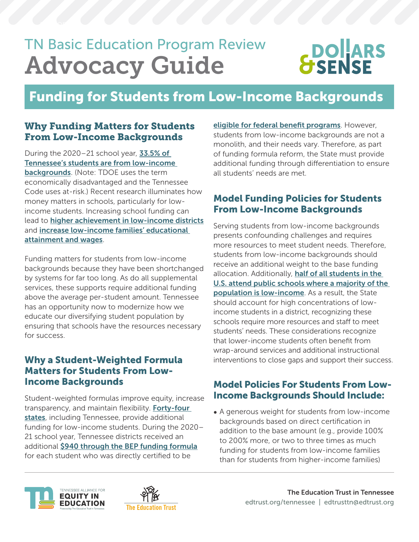## TN Basic Education Program Review Advocacy Guide

# **DOLARS**<br>SENSE

### Funding for Students from Low-Income Backgrounds

#### Why Funding Matters for Students From Low-Income Backgrounds

During the  $2020-21$  school year, **33.5% of** [Tennessee's students are from low-income](https://reportcard.tnedu.gov/state/0)  [backgrounds](https://reportcard.tnedu.gov/state/0). (Note: TDOE uses the term economically disadvantaged and the Tennessee Code uses at-risk.) Recent research illuminates how money matters in schools, particularly for lowincome students. Increasing school funding can lead to **[higher achievement in low-income districts](https://www.nber.org/papers/w22011)** and [increase low-income families'](https://www.nber.org/papers/w20847) educational attainment and wages.

Funding matters for students from low-income backgrounds because they have been shortchanged by systems for far too long. As do all supplemental services, these supports require additional funding above the average per-student amount. Tennessee has an opportunity now to modernize how we educate our diversifying student population by ensuring that schools have the resources necessary for success.

#### Why a Student-Weighted Formula Matters for Students From Low-Income Backgrounds

Student-weighted formulas improve equity, increase transparency, and maintain flexibility. Forty-four [states](https://reports.ecs.org/comparisons/k-12-and-special-education-funding-06), including Tennessee, provide additional funding for low-income students. During the 2020– 21 school year, Tennessee districts received an additional [\\$940 through the BEP funding formula](https://reports.ecs.org/comparisons/k-12-and-special-education-funding-06) for each student who was directly certified to be

[eligible for federal benefit programs](https://nces.ed.gov/blogs/nces/post/understanding-school-lunch-eligibility-in-the-common-core-of-data)[.](https://nces.ed.gov/blogs/nces/post/understanding-school-lunch-eligibility-in-the-common-core-of-data) However, students from low-income backgrounds are not a monolith, and their needs vary. Therefore, as part of funding formula reform, the State must provide additional funding through differentiation to ensure all students' needs are met.

#### Model Funding Policies for Students From Low-Income Backgrounds

Serving students from low-income backgrounds presents confounding challenges and requires more resources to meet student needs. Therefore, students from low-income backgrounds should receive an additional weight to the base funding allocation. Additionally, **[hal](https://edlawcenter.org/assets/files/pdfs/publications/Investing_in_Students_Policy_Bri.pdf)f of all students in the** U.S. attend public schools where a majority of the population is low-income. As a result, the State should account for high concentrations of lowincome students in a district, recognizing these schools require more resources and staff to meet students' needs. These considerations recognize that lower-income students often benefit from wrap-around services and additional instructional interventions to close gaps and support their success.

#### Model Policies For Students From Low-Income Backgrounds Should Include:

• A generous weight for students from low-income backgrounds based on direct certification in addition to the base amount (e.g., provide 100% to 200% more, or two to three times as much funding for students from low-income families than for students from higher-income families)